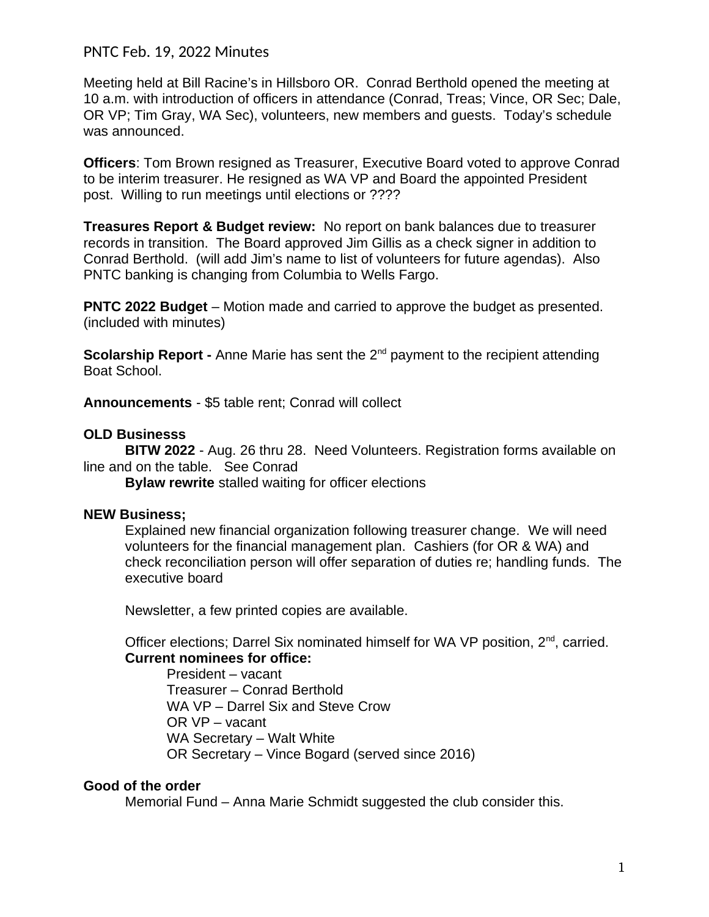## PNTC Feb. 19, 2022 Minutes

Meeting held at Bill Racine's in Hillsboro OR. Conrad Berthold opened the meeting at 10 a.m. with introduction of officers in attendance (Conrad, Treas; Vince, OR Sec; Dale, OR VP; Tim Gray, WA Sec), volunteers, new members and guests. Today's schedule was announced.

**Officers**: Tom Brown resigned as Treasurer, Executive Board voted to approve Conrad to be interim treasurer. He resigned as WA VP and Board the appointed President post. Willing to run meetings until elections or ????

**Treasures Report & Budget review:** No report on bank balances due to treasurer records in transition. The Board approved Jim Gillis as a check signer in addition to Conrad Berthold. (will add Jim's name to list of volunteers for future agendas). Also PNTC banking is changing from Columbia to Wells Fargo.

**PNTC 2022 Budget** – Motion made and carried to approve the budget as presented. (included with minutes)

**Scolarship Report -** Anne Marie has sent the 2<sup>nd</sup> payment to the recipient attending Boat School.

**Announcements** - \$5 table rent; Conrad will collect

### **OLD Businesss**

**BITW 2022** - Aug. 26 thru 28. Need Volunteers. Registration forms available on line and on the table. See Conrad

**Bylaw rewrite** stalled waiting for officer elections

### **NEW Business;**

Explained new financial organization following treasurer change. We will need volunteers for the financial management plan. Cashiers (for OR & WA) and check reconciliation person will offer separation of duties re; handling funds. The executive board

Newsletter, a few printed copies are available.

Officer elections; Darrel Six nominated himself for WA VP position,  $2^{nd}$ , carried. **Current nominees for office:**

President – vacant Treasurer – Conrad Berthold WA VP – Darrel Six and Steve Crow OR VP – vacant WA Secretary – Walt White OR Secretary – Vince Bogard (served since 2016)

### **Good of the order**

Memorial Fund – Anna Marie Schmidt suggested the club consider this.